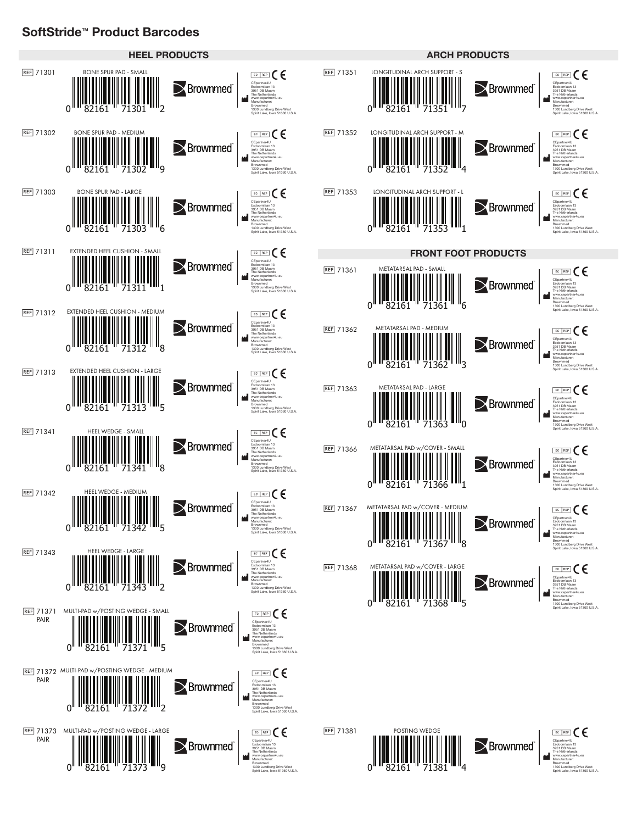## **SoftStride™ Product Barcodes**